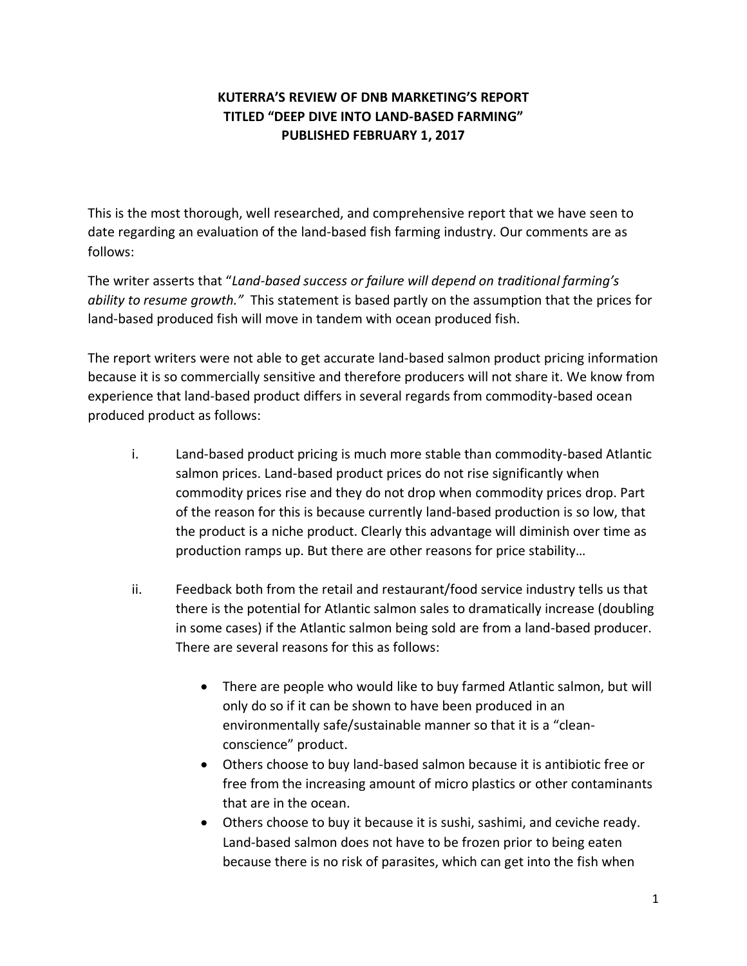## **KUTERRA'S REVIEW OF DNB MARKETING'S REPORT TITLED "DEEP DIVE INTO LAND-BASED FARMING" PUBLISHED FEBRUARY 1, 2017**

This is the most thorough, well researched, and comprehensive report that we have seen to date regarding an evaluation of the land-based fish farming industry. Our comments are as follows:

The writer asserts that "*Land-based success or failure will depend on traditional farming's ability to resume growth."* This statement is based partly on the assumption that the prices for land-based produced fish will move in tandem with ocean produced fish.

The report writers were not able to get accurate land-based salmon product pricing information because it is so commercially sensitive and therefore producers will not share it. We know from experience that land-based product differs in several regards from commodity-based ocean produced product as follows:

- i. Land-based product pricing is much more stable than commodity-based Atlantic salmon prices. Land-based product prices do not rise significantly when commodity prices rise and they do not drop when commodity prices drop. Part of the reason for this is because currently land-based production is so low, that the product is a niche product. Clearly this advantage will diminish over time as production ramps up. But there are other reasons for price stability…
- ii. Feedback both from the retail and restaurant/food service industry tells us that there is the potential for Atlantic salmon sales to dramatically increase (doubling in some cases) if the Atlantic salmon being sold are from a land-based producer. There are several reasons for this as follows:
	- There are people who would like to buy farmed Atlantic salmon, but will only do so if it can be shown to have been produced in an environmentally safe/sustainable manner so that it is a "cleanconscience" product.
	- Others choose to buy land-based salmon because it is antibiotic free or free from the increasing amount of micro plastics or other contaminants that are in the ocean.
	- Others choose to buy it because it is sushi, sashimi, and ceviche ready. Land-based salmon does not have to be frozen prior to being eaten because there is no risk of parasites, which can get into the fish when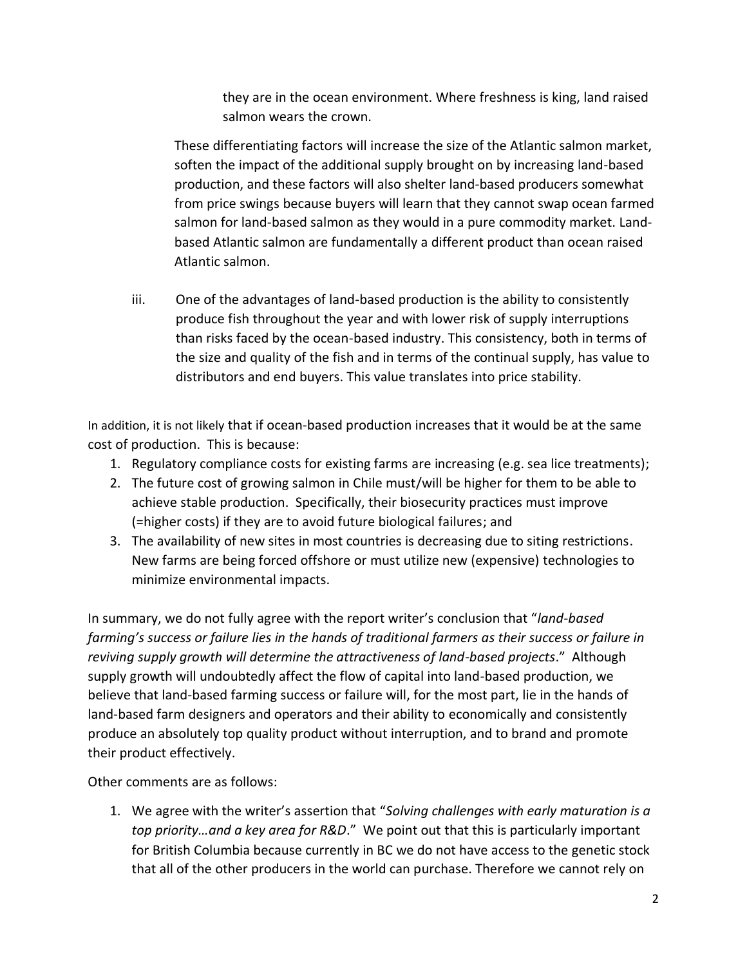they are in the ocean environment. Where freshness is king, land raised salmon wears the crown.

These differentiating factors will increase the size of the Atlantic salmon market, soften the impact of the additional supply brought on by increasing land-based production, and these factors will also shelter land-based producers somewhat from price swings because buyers will learn that they cannot swap ocean farmed salmon for land-based salmon as they would in a pure commodity market. Landbased Atlantic salmon are fundamentally a different product than ocean raised Atlantic salmon.

iii. One of the advantages of land-based production is the ability to consistently produce fish throughout the year and with lower risk of supply interruptions than risks faced by the ocean-based industry. This consistency, both in terms of the size and quality of the fish and in terms of the continual supply, has value to distributors and end buyers. This value translates into price stability.

In addition, it is not likely that if ocean-based production increases that it would be at the same cost of production. This is because:

- 1. Regulatory compliance costs for existing farms are increasing (e.g. sea lice treatments);
- 2. The future cost of growing salmon in Chile must/will be higher for them to be able to achieve stable production. Specifically, their biosecurity practices must improve (=higher costs) if they are to avoid future biological failures; and
- 3. The availability of new sites in most countries is decreasing due to siting restrictions. New farms are being forced offshore or must utilize new (expensive) technologies to minimize environmental impacts.

In summary, we do not fully agree with the report writer's conclusion that "*land-based farming's success or failure lies in the hands of traditional farmers as their success or failure in reviving supply growth will determine the attractiveness of land-based projects*." Although supply growth will undoubtedly affect the flow of capital into land-based production, we believe that land-based farming success or failure will, for the most part, lie in the hands of land-based farm designers and operators and their ability to economically and consistently produce an absolutely top quality product without interruption, and to brand and promote their product effectively.

Other comments are as follows:

1. We agree with the writer's assertion that "*Solving challenges with early maturation is a top priority…and a key area for R&D*." We point out that this is particularly important for British Columbia because currently in BC we do not have access to the genetic stock that all of the other producers in the world can purchase. Therefore we cannot rely on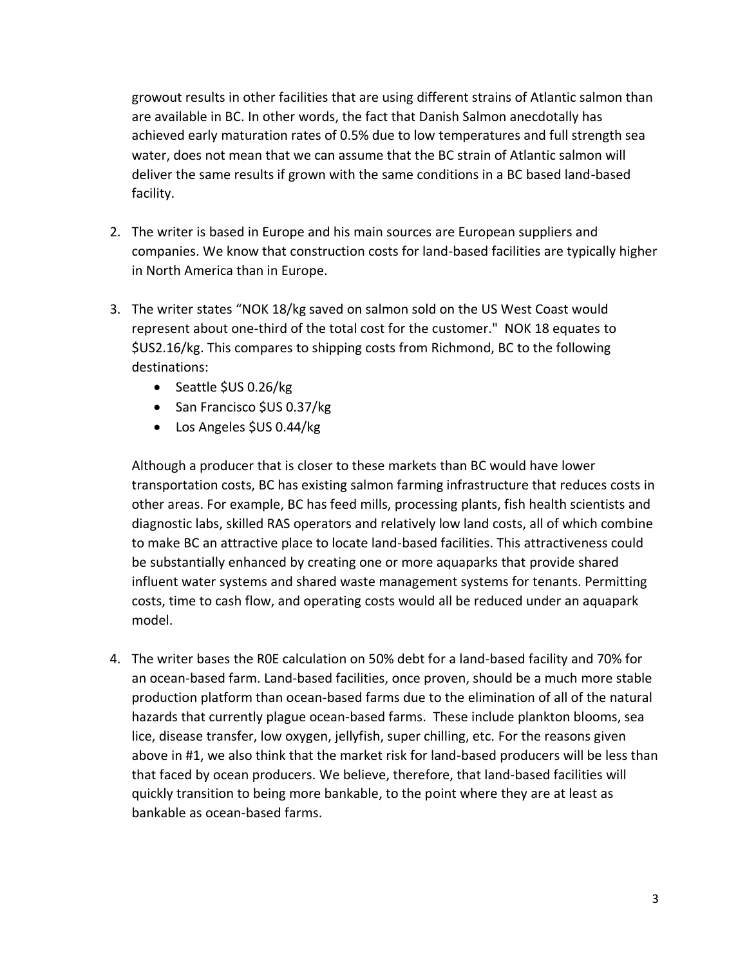growout results in other facilities that are using different strains of Atlantic salmon than are available in BC. In other words, the fact that Danish Salmon anecdotally has achieved early maturation rates of 0.5% due to low temperatures and full strength sea water, does not mean that we can assume that the BC strain of Atlantic salmon will deliver the same results if grown with the same conditions in a BC based land-based facility.

- 2. The writer is based in Europe and his main sources are European suppliers and companies. We know that construction costs for land-based facilities are typically higher in North America than in Europe.
- 3. The writer states "NOK 18/kg saved on salmon sold on the US West Coast would represent about one-third of the total cost for the customer." NOK 18 equates to \$US2.16/kg. This compares to shipping costs from Richmond, BC to the following destinations:
	- Seattle \$US 0.26/kg
	- San Francisco \$US 0.37/kg
	- Los Angeles \$US 0.44/kg

Although a producer that is closer to these markets than BC would have lower transportation costs, BC has existing salmon farming infrastructure that reduces costs in other areas. For example, BC has feed mills, processing plants, fish health scientists and diagnostic labs, skilled RAS operators and relatively low land costs, all of which combine to make BC an attractive place to locate land-based facilities. This attractiveness could be substantially enhanced by creating one or more aquaparks that provide shared influent water systems and shared waste management systems for tenants. Permitting costs, time to cash flow, and operating costs would all be reduced under an aquapark model.

4. The writer bases the R0E calculation on 50% debt for a land-based facility and 70% for an ocean-based farm. Land-based facilities, once proven, should be a much more stable production platform than ocean-based farms due to the elimination of all of the natural hazards that currently plague ocean-based farms. These include plankton blooms, sea lice, disease transfer, low oxygen, jellyfish, super chilling, etc. For the reasons given above in #1, we also think that the market risk for land-based producers will be less than that faced by ocean producers. We believe, therefore, that land-based facilities will quickly transition to being more bankable, to the point where they are at least as bankable as ocean-based farms.